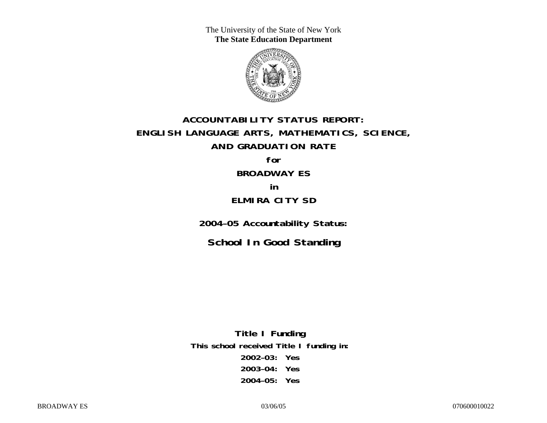The University of the State of New York **The State Education Department** 



# **ACCOUNTABILITY STATUS REPORT: ENGLISH LANGUAGE ARTS, MATHEMATICS, SCIENCE, AND GRADUATION RATE for**

# **BROADWAY ES**

## **in ELMIRA CITY SD**

**2004–05 Accountability Status:** 

**School In Good Standing** 

**Title I Funding This school received Title I funding in: 2002–03: Yes 2003–04: Yes 2004–05: Yes**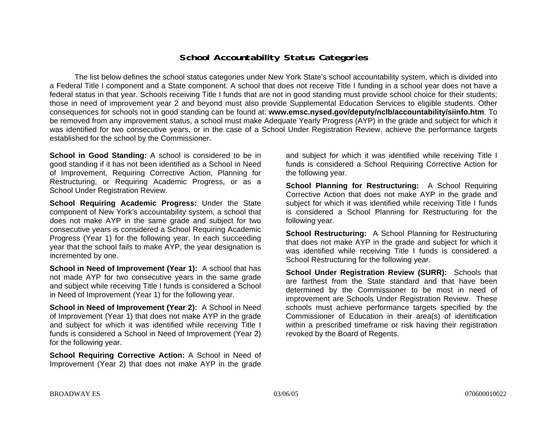## **School Accountability Status Categories**

The list below defines the school status categories under New York State's school accountability system, which is divided into a Federal Title I component and a State component. A school that does not receive Title I funding in a school year does not have a federal status in that year. Schools receiving Title I funds that are not in good standing must provide school choice for their students; those in need of improvement year 2 and beyond must also provide Supplemental Education Services to eligible students. Other consequences for schools not in good standing can be found at: **www.emsc.nysed.gov/deputy/nclb/accountability/siinfo.htm**. To be removed from any improvement status, a school must make Adequate Yearly Progress (AYP) in the grade and subject for which it was identified for two consecutive years, or in the case of a School Under Registration Review, achieve the performance targets established for the school by the Commissioner.

**School in Good Standing:** A school is considered to be in good standing if it has not been identified as a School in Need of Improvement, Requiring Corrective Action, Planning for Restructuring, or Requiring Academic Progress, or as a School Under Registration Review.

**School Requiring Academic Progress:** Under the State component of New York's accountability system, a school that does not make AYP in the same grade and subject for two consecutive years is considered a School Requiring Academic Progress (Year 1) for the following year. In each succeeding year that the school fails to make AYP, the year designation is incremented by one.

**School in Need of Improvement (Year 1):** A school that has not made AYP for two consecutive years in the same grade and subject while receiving Title I funds is considered a School in Need of Improvement (Year 1) for the following year.

**School in Need of Improvement (Year 2):** A School in Need of Improvement (Year 1) that does not make AYP in the grade and subject for which it was identified while receiving Title I funds is considered a School in Need of Improvement (Year 2) for the following year.

**School Requiring Corrective Action:** A School in Need of Improvement (Year 2) that does not make AYP in the grade

and subject for which it was identified while receiving Title I funds is considered a School Requiring Corrective Action for the following year.

**School Planning for Restructuring:** A School Requiring Corrective Action that does not make AYP in the grade and subject for which it was identified while receiving Title I funds is considered a School Planning for Restructuring for the following year.

**School Restructuring:** A School Planning for Restructuring that does not make AYP in the grade and subject for which it was identified while receiving Title I funds is considered a School Restructuring for the following year.

**School Under Registration Review (SURR):** Schools that are farthest from the State standard and that have been determined by the Commissioner to be most in need of improvement are Schools Under Registration Review. These schools must achieve performance targets specified by the Commissioner of Education in their area(s) of identification within a prescribed timeframe or risk having their registration revoked by the Board of Regents.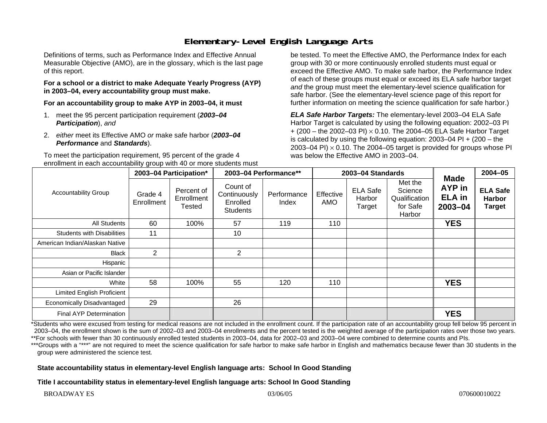# **Elementary-Level English Language Arts**

Definitions of terms, such as Performance Index and Effective Annual Measurable Objective (AMO), are in the glossary, which is the last page of this report.

#### **For a school or a district to make Adequate Yearly Progress (AYP) in 2003–04, every accountability group must make.**

**For an accountability group to make AYP in 2003–04, it must** 

- 1. meet the 95 percent participation requirement (*2003–04 Participation*), *and*
- 2. *either* meet its Effective AMO *or* make safe harbor (*2003–04 Performance* and *Standards*).

To meet the participation requirement, 95 percent of the grade 4 enrollment in each accountability group with 40 or more students must

be tested. To meet the Effective AMO, the Performance Index for each group with 30 or more continuously enrolled students must equal or exceed the Effective AMO. To make safe harbor, the Performance Index of each of these groups must equal or exceed its ELA safe harbor target *and* the group must meet the elementary-level science qualification for safe harbor. (See the elementary-level science page of this report for further information on meeting the science qualification for safe harbor.)

*ELA Safe Harbor Targets:* The elementary-level 2003–04 ELA Safe Harbor Target is calculated by using the following equation: 2002–03 PI + (200 – the 2002–03 PI) <sup>×</sup> 0.10. The 2004–05 ELA Safe Harbor Target is calculated by using the following equation: 2003–04 PI + (200 – the 2003–04 PI)  $\times$  0.10. The 2004–05 target is provided for groups whose PI was below the Effective AMO in 2003–04.

| <b>Accountability Group</b>       | 2003-04 Participation* |                                    | 2003-04 Performance**                                   |                      | 2003-04 Standards |                                     |                                                           |                                                              | $2004 - 05$                                       |
|-----------------------------------|------------------------|------------------------------------|---------------------------------------------------------|----------------------|-------------------|-------------------------------------|-----------------------------------------------------------|--------------------------------------------------------------|---------------------------------------------------|
|                                   | Grade 4<br>Enrollment  | Percent of<br>Enrollment<br>Tested | Count of<br>Continuously<br>Enrolled<br><b>Students</b> | Performance<br>Index | Effective<br>AMO  | <b>ELA Safe</b><br>Harbor<br>Target | Met the<br>Science<br>Qualification<br>for Safe<br>Harbor | <b>Made</b><br><b>AYP</b> in<br><b>ELA</b> in<br>$2003 - 04$ | <b>ELA Safe</b><br><b>Harbor</b><br><b>Target</b> |
| All Students                      | 60                     | 100%                               | 57                                                      | 119                  | 110               |                                     |                                                           | <b>YES</b>                                                   |                                                   |
| <b>Students with Disabilities</b> | 11                     |                                    | 10                                                      |                      |                   |                                     |                                                           |                                                              |                                                   |
| American Indian/Alaskan Native    |                        |                                    |                                                         |                      |                   |                                     |                                                           |                                                              |                                                   |
| Black                             | $\overline{2}$         |                                    | 2                                                       |                      |                   |                                     |                                                           |                                                              |                                                   |
| Hispanic                          |                        |                                    |                                                         |                      |                   |                                     |                                                           |                                                              |                                                   |
| Asian or Pacific Islander         |                        |                                    |                                                         |                      |                   |                                     |                                                           |                                                              |                                                   |
| White                             | 58                     | 100%                               | 55                                                      | 120                  | 110               |                                     |                                                           | <b>YES</b>                                                   |                                                   |
| Limited English Proficient        |                        |                                    |                                                         |                      |                   |                                     |                                                           |                                                              |                                                   |
| Economically Disadvantaged        | 29                     |                                    | 26                                                      |                      |                   |                                     |                                                           |                                                              |                                                   |
| <b>Final AYP Determination</b>    |                        |                                    |                                                         |                      |                   |                                     |                                                           | <b>YES</b>                                                   |                                                   |

\*Students who were excused from testing for medical reasons are not included in the enrollment count. If the participation rate of an accountability group fell below 95 percent in 2003–04, the enrollment shown is the sum of 2002–03 and 2003–04 enrollments and the percent tested is the weighted average of the participation rates over those two years. \*\*For schools with fewer than 30 continuously enrolled tested students in 2003–04, data for 2002–03 and 2003–04 were combined to determine counts and PIs.

\*\*\*Groups with a "\*\*\*" are not required to meet the science qualification for safe harbor to make safe harbor in English and mathematics because fewer than 30 students in the group were administered the science test.

#### **State accountability status in elementary-level English language arts: School In Good Standing**

**Title I accountability status in elementary-level English language arts: School In Good Standing**

BROADWAY ES 03/06/05 03/06/05 03/06/05 070600010022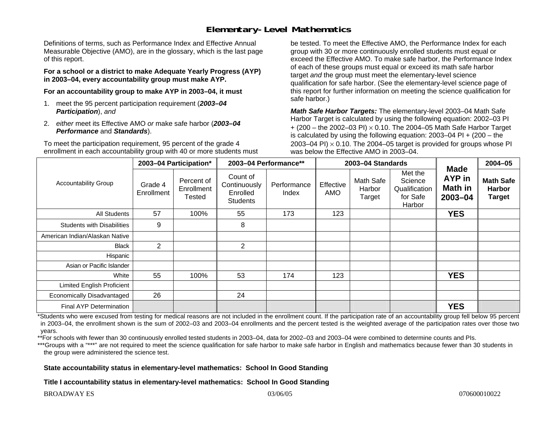# **Elementary-Level Mathematics**

Definitions of terms, such as Performance Index and Effective Annual Measurable Objective (AMO), are in the glossary, which is the last page of this report.

**For a school or a district to make Adequate Yearly Progress (AYP) in 2003–04, every accountability group must make AYP.** 

**For an accountability group to make AYP in 2003–04, it must** 

- 1. meet the 95 percent participation requirement (*2003–04 Participation*), *and*
- 2. *either* meet its Effective AMO *or* make safe harbor (*2003–04 Performance* and *Standards*).

To meet the participation requirement, 95 percent of the grade 4 enrollment in each accountability group with 40 or more students must be tested. To meet the Effective AMO, the Performance Index for each group with 30 or more continuously enrolled students must equal or exceed the Effective AMO. To make safe harbor, the Performance Index of each of these groups must equal or exceed its math safe harbor target *and* the group must meet the elementary-level science qualification for safe harbor. (See the elementary-level science page of this report for further information on meeting the science qualification for safe harbor.)

*Math Safe Harbor Targets:* The elementary-level 2003–04 Math Safe Harbor Target is calculated by using the following equation: 2002–03 PI + (200 – the 2002–03 PI) <sup>×</sup> 0.10. The 2004–05 Math Safe Harbor Target is calculated by using the following equation: 2003–04 PI + (200 – the 2003–04 PI)  $\times$  0.10. The 2004–05 target is provided for groups whose PI was below the Effective AMO in 2003–04.

| <b>Accountability Group</b>       | 2003-04 Participation* |                                           | 2003-04 Performance**                                   |                      | 2003-04 Standards |                               |                                                           |                                                        | 2004-05                                            |
|-----------------------------------|------------------------|-------------------------------------------|---------------------------------------------------------|----------------------|-------------------|-------------------------------|-----------------------------------------------------------|--------------------------------------------------------|----------------------------------------------------|
|                                   | Grade 4<br>Enrollment  | Percent of<br>Enrollment<br><b>Tested</b> | Count of<br>Continuously<br>Enrolled<br><b>Students</b> | Performance<br>Index | Effective<br>AMO  | Math Safe<br>Harbor<br>Target | Met the<br>Science<br>Qualification<br>for Safe<br>Harbor | <b>Made</b><br><b>AYP</b> in<br>Math in<br>$2003 - 04$ | <b>Math Safe</b><br><b>Harbor</b><br><b>Target</b> |
| All Students                      | 57                     | 100%                                      | 55                                                      | 173                  | 123               |                               |                                                           | <b>YES</b>                                             |                                                    |
| <b>Students with Disabilities</b> | 9                      |                                           | 8                                                       |                      |                   |                               |                                                           |                                                        |                                                    |
| American Indian/Alaskan Native    |                        |                                           |                                                         |                      |                   |                               |                                                           |                                                        |                                                    |
| <b>Black</b>                      | $\overline{2}$         |                                           | $\overline{2}$                                          |                      |                   |                               |                                                           |                                                        |                                                    |
| Hispanic                          |                        |                                           |                                                         |                      |                   |                               |                                                           |                                                        |                                                    |
| Asian or Pacific Islander         |                        |                                           |                                                         |                      |                   |                               |                                                           |                                                        |                                                    |
| White                             | 55                     | 100%                                      | 53                                                      | 174                  | 123               |                               |                                                           | <b>YES</b>                                             |                                                    |
| <b>Limited English Proficient</b> |                        |                                           |                                                         |                      |                   |                               |                                                           |                                                        |                                                    |
| Economically Disadvantaged        | 26                     |                                           | 24                                                      |                      |                   |                               |                                                           |                                                        |                                                    |
| <b>Final AYP Determination</b>    |                        |                                           |                                                         |                      |                   |                               |                                                           | <b>YES</b>                                             |                                                    |

\*Students who were excused from testing for medical reasons are not included in the enrollment count. If the participation rate of an accountability group fell below 95 percent in 2003–04, the enrollment shown is the sum of 2002–03 and 2003–04 enrollments and the percent tested is the weighted average of the participation rates over those two years.

\*\*For schools with fewer than 30 continuously enrolled tested students in 2003–04, data for 2002–03 and 2003–04 were combined to determine counts and PIs.

\*\*\*Groups with a "\*\*\*" are not required to meet the science qualification for safe harbor to make safe harbor in English and mathematics because fewer than 30 students in the group were administered the science test.

**State accountability status in elementary-level mathematics: School In Good Standing** 

**Title I accountability status in elementary-level mathematics: School In Good Standing**

BROADWAY ES 03/06/05 070600010022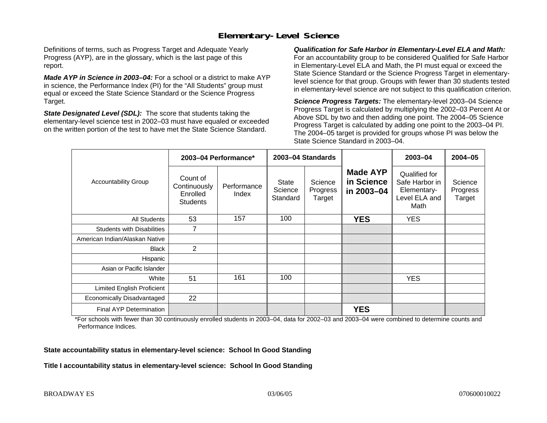# **Elementary-Level Science**

Definitions of terms, such as Progress Target and Adequate Yearly Progress (AYP), are in the glossary, which is the last page of this report.

*Made AYP in Science in 2003–04:* For a school or a district to make AYP in science, the Performance Index (PI) for the "All Students" group must equal or exceed the State Science Standard or the Science Progress Target.

*State Designated Level (SDL):* The score that students taking the elementary-level science test in 2002–03 must have equaled or exceeded on the written portion of the test to have met the State Science Standard.

*Qualification for Safe Harbor in Elementary-Level ELA and Math:* For an accountability group to be considered Qualified for Safe Harbor in Elementary-Level ELA and Math, the PI must equal or exceed the State Science Standard or the Science Progress Target in elementarylevel science for that group. Groups with fewer than 30 students tested in elementary-level science are not subject to this qualification criterion.

*Science Progress Targets:* The elementary-level 2003–04 Science Progress Target is calculated by multiplying the 2002–03 Percent At or Above SDL by two and then adding one point. The 2004–05 Science Progress Target is calculated by adding one point to the 2003–04 PI. The 2004–05 target is provided for groups whose PI was below the State Science Standard in 2003–04.

|                                   |                                                         | 2003-04 Performance* | 2003-04 Standards            |                               |                                             | 2003-04                                                                 | $2004 - 05$                   |
|-----------------------------------|---------------------------------------------------------|----------------------|------------------------------|-------------------------------|---------------------------------------------|-------------------------------------------------------------------------|-------------------------------|
| <b>Accountability Group</b>       | Count of<br>Continuously<br>Enrolled<br><b>Students</b> | Performance<br>Index | State<br>Science<br>Standard | Science<br>Progress<br>Target | <b>Made AYP</b><br>in Science<br>in 2003-04 | Qualified for<br>Safe Harbor in<br>Elementary-<br>Level ELA and<br>Math | Science<br>Progress<br>Target |
| <b>All Students</b>               | 53                                                      | 157                  | 100                          |                               | <b>YES</b>                                  | <b>YES</b>                                                              |                               |
| <b>Students with Disabilities</b> | $\overline{7}$                                          |                      |                              |                               |                                             |                                                                         |                               |
| American Indian/Alaskan Native    |                                                         |                      |                              |                               |                                             |                                                                         |                               |
| <b>Black</b>                      | $\overline{2}$                                          |                      |                              |                               |                                             |                                                                         |                               |
| Hispanic                          |                                                         |                      |                              |                               |                                             |                                                                         |                               |
| Asian or Pacific Islander         |                                                         |                      |                              |                               |                                             |                                                                         |                               |
| White                             | 51                                                      | 161                  | 100                          |                               |                                             | <b>YES</b>                                                              |                               |
| Limited English Proficient        |                                                         |                      |                              |                               |                                             |                                                                         |                               |
| Economically Disadvantaged        | 22                                                      |                      |                              |                               |                                             |                                                                         |                               |
| <b>Final AYP Determination</b>    |                                                         |                      |                              |                               | <b>YES</b>                                  |                                                                         |                               |

\*For schools with fewer than 30 continuously enrolled students in 2003–04, data for 2002–03 and 2003–04 were combined to determine counts and Performance Indices.

**State accountability status in elementary-level science: School In Good Standing** 

**Title I accountability status in elementary-level science: School In Good Standing**